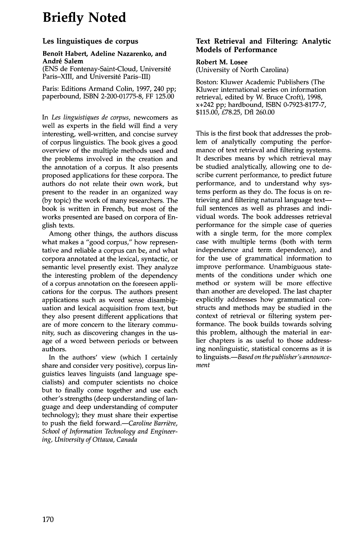# **Briefly Noted**

## **Les linguistiques de corpus**

#### **Benoit Habert, Adeline Nazarenko, and Andr4 Salem**

(ENS de Fontenay-Saint-Cloud, Universit6 Paris-XIII, and Université Paris-III)

Paris: Editions Armand Colin, 1997, 240 pp; paperbound, ISBN 2-200-01775-8, FF 125.00

*In Les linguistiques de corpus,* newcomers as well as experts in the field will find a very interesting, well-written, and concise survey of corpus linguistics. The book gives a good overview of the multiple methods used and the problems involved in the creation and the annotation of a corpus. It also presents proposed applications for these corpora. The authors do not relate their own work, but present to the reader in an organized way (by topic) the work of many researchers. The book is written in French, but most of the works presented are based on corpora of English texts.

Among other things, the authors discuss what makes a "good corpus," how representative and reliable a corpus can be, and what corpora annotated at the lexical, syntactic, or semantic level presently exist. They analyze the interesting problem of the dependency of a corpus annotation on the foreseen applications for the corpus. The authors present applications such as word sense disambiguation and lexical acquisition from text, but they also present different applications that are of more concern to the literary community, such as discovering changes in the usage of a word between periods or between authors.

In the authors' view (which I certainly share and consider very positive), corpus linguistics leaves linguists (and language specialists) and computer scientists no choice but to finally come together and use each other's strengths (deep understanding of language and deep understanding of computer technology); they must share their expertise to push the field forward.--Caroline Barrière, *School of Information Technology and Engineering, University of Ottawa, Canada* 

## **Text Retrieval and Filtering: Analytic Models of Performance**

### **Robert M. Losee**

(University of North Carolina)

Boston: Kluwer Academic Publishers (The Kluwer international series on information retrieval, edited by W. Bruce Croft), 1998, x+242 pp; hardbound, ISBN 0-7923-8177-7, \$115.00, £78.25, Dfl 260.00

This is the first book that addresses the problem of analytically computing the performance of text retrieval and filtering systems. It describes means by which retrieval may be studied analytically, allowing one to describe current performance, to predict future performance, and to understand why systems perform as they do. The focus is on retrieving and filtering natural language textfull sentences as well as phrases and individual words. The book addresses retrieval performance for the simple case of queries with a single term, for the more complex case with multiple terms (both with term independence and term dependence), and for the use of grarmnatical information to improve performance. Unambiguous statements of the conditions under which one method or system will be more effective than another are developed. The last chapter explicitly addresses how grammatical constructs and methods may be studied in the context of retrieval or filtering system performance. The book builds towards solving this problem, although the material in earlier chapters is as useful to those addressing nonlinguistic, statistical concerns as it is to *linguists.--Based on the publisher's announcement*